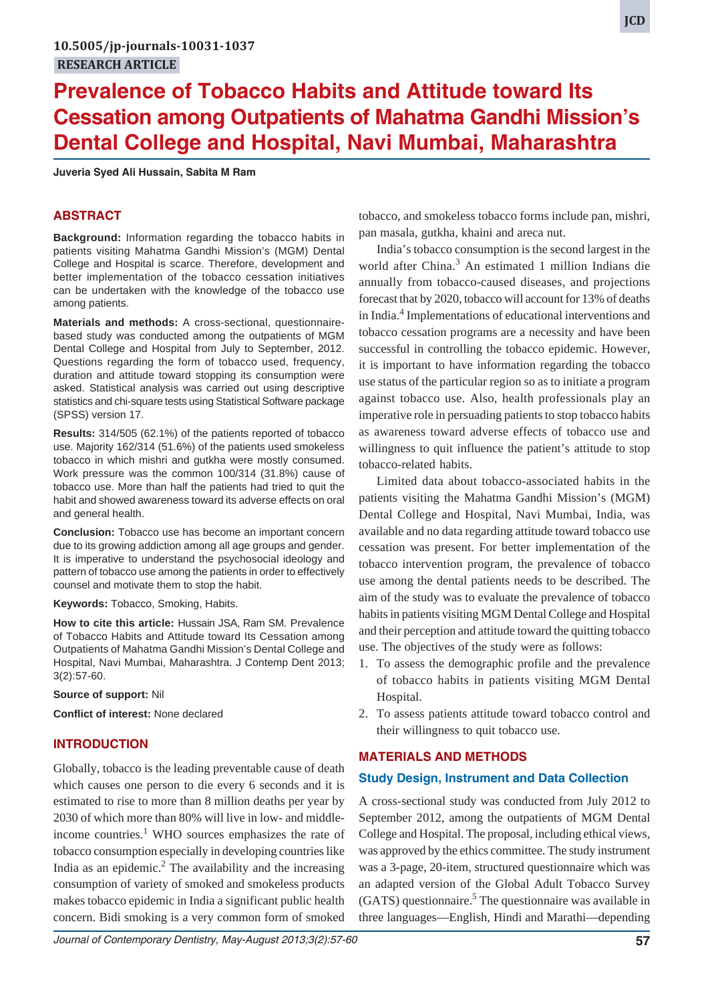# **Prevalence of Tobacco Habits and Attitude toward Its Cessation among Outpatients of Mahatma Gandhi Mission's Dental College and Hospital, Navi Mumbai, Maharashtra**

**Juveria Syed Ali Hussain, Sabita M Ram**

# **ABSTRACT**

**Background:** Information regarding the tobacco habits in patients visiting Mahatma Gandhi Mission's (MGM) Dental College and Hospital is scarce. Therefore, development and better implementation of the tobacco cessation initiatives can be undertaken with the knowledge of the tobacco use among patients.

**Materials and methods:** A cross-sectional, questionnairebased study was conducted among the outpatients of MGM Dental College and Hospital from July to September, 2012. Questions regarding the form of tobacco used, frequency, duration and attitude toward stopping its consumption were asked. Statistical analysis was carried out using descriptive statistics and chi-square tests using Statistical Software package (SPSS) version 17.

**Results:** 314/505 (62.1%) of the patients reported of tobacco use. Majority 162/314 (51.6%) of the patients used smokeless tobacco in which mishri and gutkha were mostly consumed. Work pressure was the common 100/314 (31.8%) cause of tobacco use. More than half the patients had tried to quit the habit and showed awareness toward its adverse effects on oral and general health.

**Conclusion:** Tobacco use has become an important concern due to its growing addiction among all age groups and gender. It is imperative to understand the psychosocial ideology and pattern of tobacco use among the patients in order to effectively counsel and motivate them to stop the habit.

**Keywords:** Tobacco, Smoking, Habits.

**How to cite this article:** Hussain JSA, Ram SM. Prevalence of Tobacco Habits and Attitude toward Its Cessation among Outpatients of Mahatma Gandhi Mission's Dental College and Hospital, Navi Mumbai, Maharashtra. J Contemp Dent 2013; 3(2):57-60.

**Source of support:** Nil

**Conflict of interest:** None declared

## **INTRODUCTION**

Globally, tobacco is the leading preventable cause of death which causes one person to die every 6 seconds and it is estimated to rise to more than 8 million deaths per year by 2030 of which more than 80% will live in low- and middleincome countries.<sup>1</sup> WHO sources emphasizes the rate of tobacco consumption especially in developing countries like India as an epidemic. $2$  The availability and the increasing consumption of variety of smoked and smokeless products makes tobacco epidemic in India a significant public health concern. Bidi smoking is a very common form of smoked

tobacco, and smokeless tobacco forms include pan, mishri, pan masala, gutkha, khaini and areca nut.

India's tobacco consumption is the second largest in the world after China.<sup>3</sup> An estimated 1 million Indians die annually from tobacco-caused diseases, and projections forecast that by 2020, tobacco will account for 13% of deaths in India.<sup>4</sup> Implementations of educational interventions and tobacco cessation programs are a necessity and have been successful in controlling the tobacco epidemic. However, it is important to have information regarding the tobacco use status of the particular region so as to initiate a program against tobacco use. Also, health professionals play an imperative role in persuading patients to stop tobacco habits as awareness toward adverse effects of tobacco use and willingness to quit influence the patient's attitude to stop tobacco-related habits.

Limited data about tobacco-associated habits in the patients visiting the Mahatma Gandhi Mission's (MGM) Dental College and Hospital, Navi Mumbai, India, was available and no data regarding attitude toward tobacco use cessation was present. For better implementation of the tobacco intervention program, the prevalence of tobacco use among the dental patients needs to be described. The aim of the study was to evaluate the prevalence of tobacco habits in patients visiting MGM Dental College and Hospital and their perception and attitude toward the quitting tobacco use. The objectives of the study were as follows:

- 1. To assess the demographic profile and the prevalence of tobacco habits in patients visiting MGM Dental Hospital.
- 2. To assess patients attitude toward tobacco control and their willingness to quit tobacco use.

### **MATERIALS AND METHODS**

### **Study Design, Instrument and Data Collection**

A cross-sectional study was conducted from July 2012 to September 2012, among the outpatients of MGM Dental College and Hospital. The proposal, including ethical views, was approved by the ethics committee. The study instrument was a 3-page, 20-item, structured questionnaire which was an adapted version of the Global Adult Tobacco Survey (GATS) questionnaire.<sup>5</sup> The questionnaire was available in three languages—English, Hindi and Marathi—depending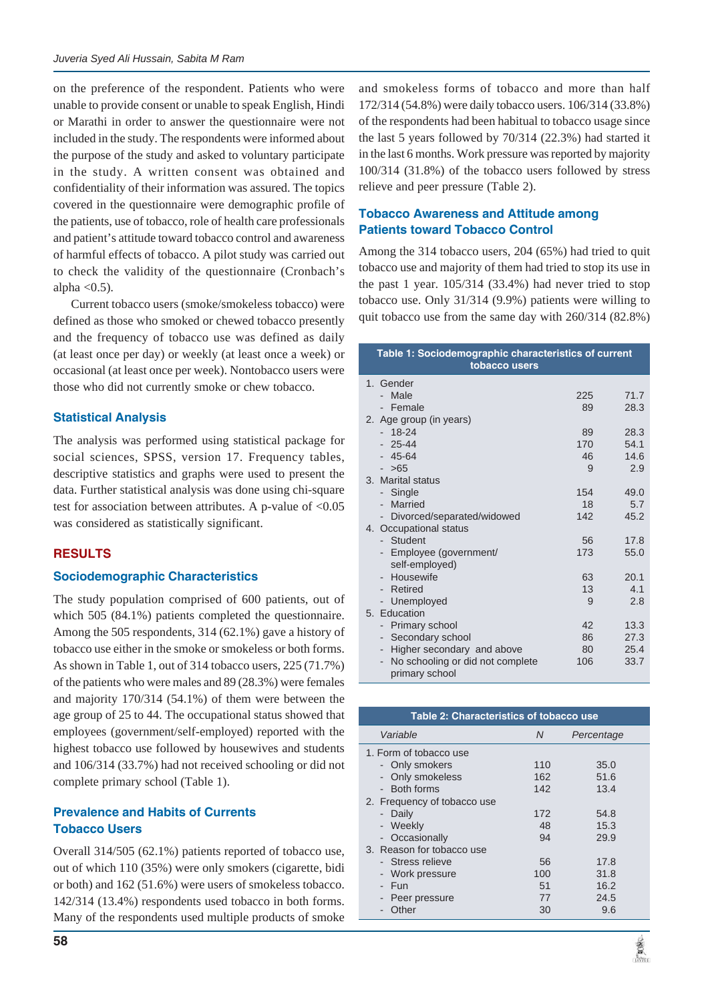on the preference of the respondent. Patients who were unable to provide consent or unable to speak English, Hindi or Marathi in order to answer the questionnaire were not included in the study. The respondents were informed about the purpose of the study and asked to voluntary participate in the study. A written consent was obtained and confidentiality of their information was assured. The topics covered in the questionnaire were demographic profile of the patients, use of tobacco, role of health care professionals and patient's attitude toward tobacco control and awareness of harmful effects of tobacco. A pilot study was carried out to check the validity of the questionnaire (Cronbach's alpha  $<$ 0.5).

Current tobacco users (smoke/smokeless tobacco) were defined as those who smoked or chewed tobacco presently and the frequency of tobacco use was defined as daily (at least once per day) or weekly (at least once a week) or occasional (at least once per week). Nontobacco users were those who did not currently smoke or chew tobacco.

# **Statistical Analysis**

The analysis was performed using statistical package for social sciences, SPSS, version 17. Frequency tables, descriptive statistics and graphs were used to present the data. Further statistical analysis was done using chi-square test for association between attributes. A p-value of <0.05 was considered as statistically significant.

## **RESULTS**

## **Sociodemographic Characteristics**

The study population comprised of 600 patients, out of which 505 (84.1%) patients completed the questionnaire. Among the 505 respondents, 314 (62.1%) gave a history of tobacco use either in the smoke or smokeless or both forms. As shown in Table 1, out of 314 tobacco users, 225 (71.7%) of the patients who were males and 89 (28.3%) were females and majority 170/314 (54.1%) of them were between the age group of 25 to 44. The occupational status showed that employees (government/self-employed) reported with the highest tobacco use followed by housewives and students and 106/314 (33.7%) had not received schooling or did not complete primary school (Table 1).

# **Prevalence and Habits of Currents Tobacco Users**

Overall 314/505 (62.1%) patients reported of tobacco use, out of which 110 (35%) were only smokers (cigarette, bidi or both) and 162 (51.6%) were users of smokeless tobacco. 142/314 (13.4%) respondents used tobacco in both forms. Many of the respondents used multiple products of smoke

and smokeless forms of tobacco and more than half 172/314 (54.8%) were daily tobacco users. 106/314 (33.8%) of the respondents had been habitual to tobacco usage since the last 5 years followed by 70/314 (22.3%) had started it in the last 6 months. Work pressure was reported by majority 100/314 (31.8%) of the tobacco users followed by stress relieve and peer pressure (Table 2).

# **Tobacco Awareness and Attitude among Patients toward Tobacco Control**

Among the 314 tobacco users, 204 (65%) had tried to quit tobacco use and majority of them had tried to stop its use in the past 1 year. 105/314 (33.4%) had never tried to stop tobacco use. Only 31/314 (9.9%) patients were willing to quit tobacco use from the same day with 260/314 (82.8%)

| Table 1: Sociodemographic characteristics of current<br>tobacco users |                                              |     |      |  |
|-----------------------------------------------------------------------|----------------------------------------------|-----|------|--|
|                                                                       | 1. Gender                                    |     |      |  |
|                                                                       | Male                                         | 225 | 71.7 |  |
|                                                                       | - Female                                     | 89  | 28.3 |  |
|                                                                       | 2. Age group (in years)                      |     |      |  |
|                                                                       | 18-24                                        | 89  | 28.3 |  |
|                                                                       | $-25-44$                                     | 170 | 54.1 |  |
|                                                                       | $-45-64$                                     | 46  | 14.6 |  |
|                                                                       | >65                                          | 9   | 2.9  |  |
|                                                                       | 3. Marital status                            |     |      |  |
|                                                                       | Single                                       | 154 | 49.0 |  |
|                                                                       | Married                                      | 18  | 5.7  |  |
|                                                                       | - Divorced/separated/widowed                 | 142 | 45.2 |  |
|                                                                       | 4. Occupational status                       |     |      |  |
|                                                                       | Student                                      | 56  | 17.8 |  |
|                                                                       | Employee (government/                        | 173 | 55.0 |  |
|                                                                       | self-employed)                               |     |      |  |
|                                                                       | Housewife                                    | 63  | 20.1 |  |
|                                                                       | - Retired                                    | 13  | 4.1  |  |
|                                                                       | - Unemployed                                 | 9   | 2.8  |  |
|                                                                       | 5. Education                                 |     |      |  |
|                                                                       | <b>Primary school</b>                        | 42  | 13.3 |  |
|                                                                       | Secondary school<br>$\overline{\phantom{0}}$ | 86  | 27.3 |  |
|                                                                       | Higher secondary and above<br>-              | 80  | 25.4 |  |
|                                                                       | No schooling or did not complete             | 106 | 33.7 |  |
|                                                                       | primary school                               |     |      |  |

| Table 2: Characteristics of tobacco use                                                             |                             |                                     |  |  |
|-----------------------------------------------------------------------------------------------------|-----------------------------|-------------------------------------|--|--|
| Variable                                                                                            | N                           | Percentage                          |  |  |
| 1. Form of tobacco use<br>- Only smokers<br>- Only smokeless<br>- Both forms                        | 110<br>162                  | 35.0<br>51.6                        |  |  |
| 2. Frequency of tobacco use<br>- Daily<br>- Weekly<br>- Occasionally                                | 142<br>172<br>48<br>94      | 13.4<br>54.8<br>15.3<br>29.9        |  |  |
| 3. Reason for tobacco use<br>- Stress relieve<br>- Work pressure<br>- Fun<br>Peer pressure<br>Other | 56<br>100<br>51<br>77<br>30 | 17.8<br>31.8<br>16.2<br>24.5<br>9.6 |  |  |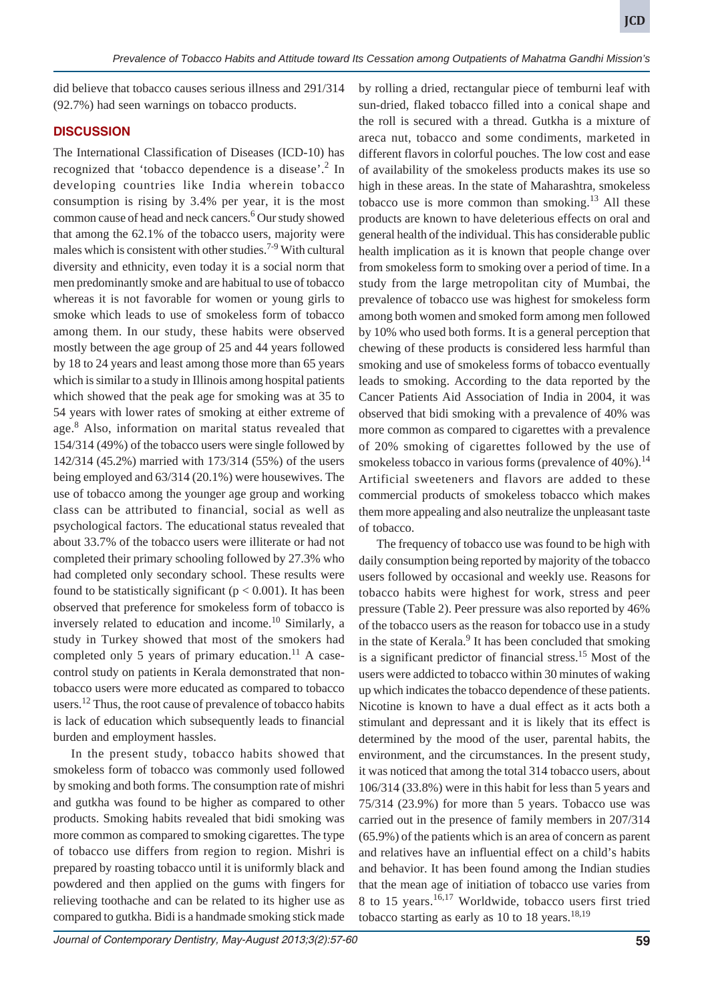did believe that tobacco causes serious illness and 291/314 (92.7%) had seen warnings on tobacco products.

# **DISCUSSION**

The International Classification of Diseases (ICD-10) has recognized that 'tobacco dependence is a disease'.<sup>2</sup> In developing countries like India wherein tobacco consumption is rising by 3.4% per year, it is the most common cause of head and neck cancers.<sup>6</sup> Our study showed that among the 62.1% of the tobacco users, majority were males which is consistent with other studies.<sup>7-9</sup> With cultural diversity and ethnicity, even today it is a social norm that men predominantly smoke and are habitual to use of tobacco whereas it is not favorable for women or young girls to smoke which leads to use of smokeless form of tobacco among them. In our study, these habits were observed mostly between the age group of 25 and 44 years followed by 18 to 24 years and least among those more than 65 years which is similar to a study in Illinois among hospital patients which showed that the peak age for smoking was at 35 to 54 years with lower rates of smoking at either extreme of age.<sup>8</sup> Also, information on marital status revealed that 154/314 (49%) of the tobacco users were single followed by 142/314 (45.2%) married with 173/314 (55%) of the users being employed and 63/314 (20.1%) were housewives. The use of tobacco among the younger age group and working class can be attributed to financial, social as well as psychological factors. The educational status revealed that about 33.7% of the tobacco users were illiterate or had not completed their primary schooling followed by 27.3% who had completed only secondary school. These results were found to be statistically significant ( $p < 0.001$ ). It has been observed that preference for smokeless form of tobacco is inversely related to education and income.<sup>10</sup> Similarly, a study in Turkey showed that most of the smokers had completed only 5 years of primary education. $^{11}$  A casecontrol study on patients in Kerala demonstrated that nontobacco users were more educated as compared to tobacco users.<sup>12</sup> Thus, the root cause of prevalence of tobacco habits is lack of education which subsequently leads to financial burden and employment hassles.

In the present study, tobacco habits showed that smokeless form of tobacco was commonly used followed by smoking and both forms. The consumption rate of mishri and gutkha was found to be higher as compared to other products. Smoking habits revealed that bidi smoking was more common as compared to smoking cigarettes. The type of tobacco use differs from region to region. Mishri is prepared by roasting tobacco until it is uniformly black and powdered and then applied on the gums with fingers for relieving toothache and can be related to its higher use as compared to gutkha. Bidi is a handmade smoking stick made

by rolling a dried, rectangular piece of temburni leaf with sun-dried, flaked tobacco filled into a conical shape and the roll is secured with a thread. Gutkha is a mixture of areca nut, tobacco and some condiments, marketed in different flavors in colorful pouches. The low cost and ease of availability of the smokeless products makes its use so high in these areas. In the state of Maharashtra, smokeless tobacco use is more common than smoking.<sup>13</sup> All these products are known to have deleterious effects on oral and general health of the individual. This has considerable public health implication as it is known that people change over from smokeless form to smoking over a period of time. In a study from the large metropolitan city of Mumbai, the prevalence of tobacco use was highest for smokeless form among both women and smoked form among men followed by 10% who used both forms. It is a general perception that chewing of these products is considered less harmful than smoking and use of smokeless forms of tobacco eventually leads to smoking. According to the data reported by the Cancer Patients Aid Association of India in 2004, it was observed that bidi smoking with a prevalence of 40% was more common as compared to cigarettes with a prevalence of 20% smoking of cigarettes followed by the use of smokeless tobacco in various forms (prevalence of  $40\%$ ).<sup>14</sup> Artificial sweeteners and flavors are added to these commercial products of smokeless tobacco which makes them more appealing and also neutralize the unpleasant taste of tobacco.

The frequency of tobacco use was found to be high with daily consumption being reported by majority of the tobacco users followed by occasional and weekly use. Reasons for tobacco habits were highest for work, stress and peer pressure (Table 2). Peer pressure was also reported by 46% of the tobacco users as the reason for tobacco use in a study in the state of Kerala.<sup>9</sup> It has been concluded that smoking is a significant predictor of financial stress.<sup>15</sup> Most of the users were addicted to tobacco within 30 minutes of waking up which indicates the tobacco dependence of these patients. Nicotine is known to have a dual effect as it acts both a stimulant and depressant and it is likely that its effect is determined by the mood of the user, parental habits, the environment, and the circumstances. In the present study, it was noticed that among the total 314 tobacco users, about 106/314 (33.8%) were in this habit for less than 5 years and 75/314 (23.9%) for more than 5 years. Tobacco use was carried out in the presence of family members in 207/314 (65.9%) of the patients which is an area of concern as parent and relatives have an influential effect on a child's habits and behavior. It has been found among the Indian studies that the mean age of initiation of tobacco use varies from 8 to 15 years.<sup>16,17</sup> Worldwide, tobacco users first tried tobacco starting as early as 10 to 18 years.<sup>18,19</sup>